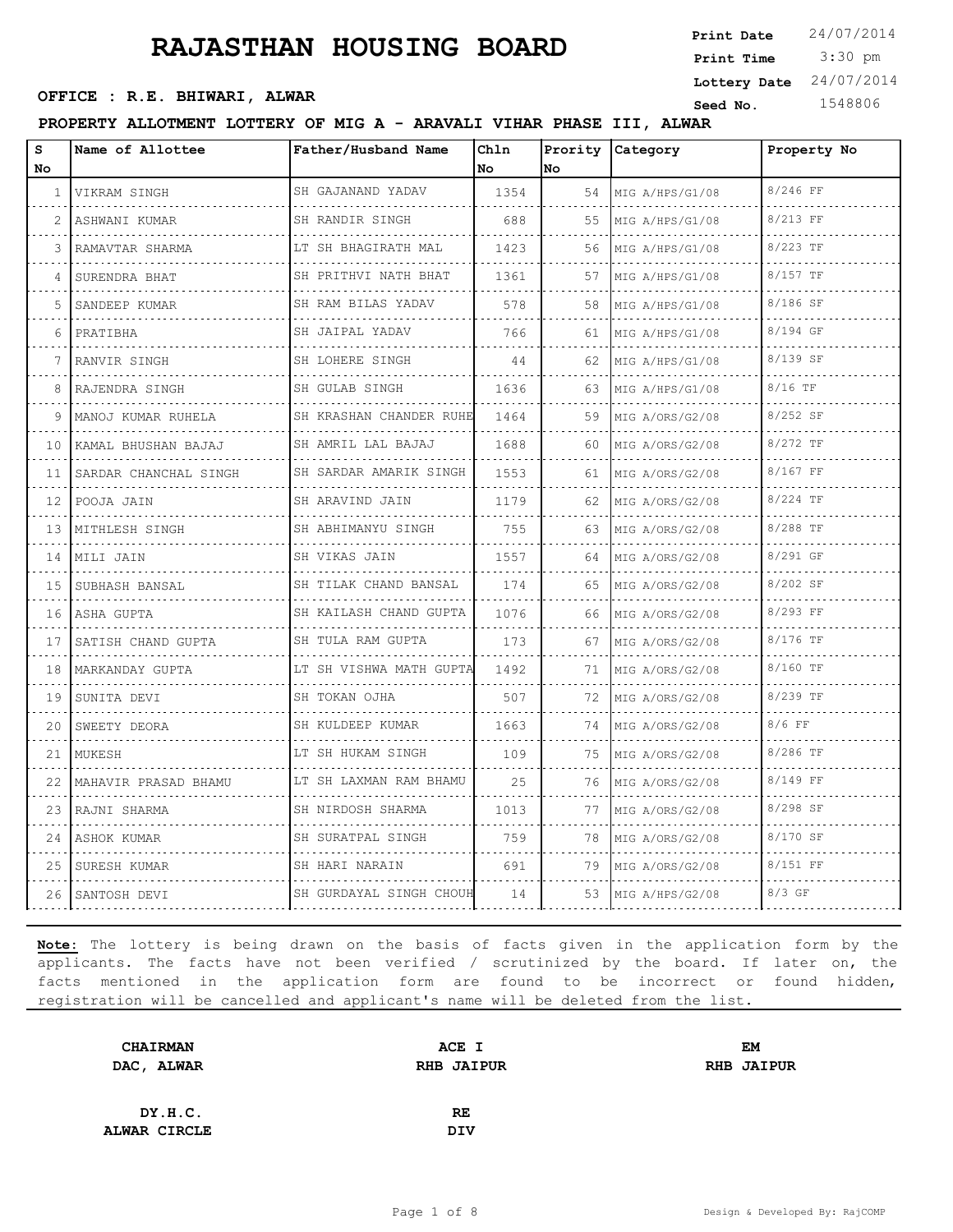3:30 pm **Print Date**  $24/07/2014$ **Print Time OFFICE : R.E. BHIWARI, ALWAR CONSUMIC SEED AND SEED NO.** 1548806 **Lottery Date** 24/07/2014

**PROPERTY ALLOTMENT LOTTERY OF MIG A - ARAVALI VIHAR PHASE III, ALWAR**

| S<br>No.     | Name of Allottee      | Father/Husband Name                     | Chln<br>No | No  | Prority Category | Property No |
|--------------|-----------------------|-----------------------------------------|------------|-----|------------------|-------------|
| $\mathbf{1}$ | VIKRAM SINGH          | SH GAJANAND YADAV                       | 1354       | 54  | MIG A/HPS/G1/08  | 8/246 FF    |
| 2            | ASHWANI KUMAR         | SH RANDIR SINGH                         | 688        | 55  | MIG A/HPS/G1/08  | 8/213 FF    |
| 3            | RAMAVTAR SHARMA       | LT SH BHAGIRATH MAL                     | 1423       | 56  | MIG A/HPS/G1/08  | 8/223 TF    |
| 4            | SURENDRA BHAT         | .<br>SH PRITHVI NATH BHAT<br>. <b>.</b> | 1361       | 57  | MIG A/HPS/G1/08  | 8/157 TF    |
| 5            | SANDEEP KUMAR         | SH RAM BILAS YADAV                      | 578        | 58  | MIG A/HPS/G1/08  | 8/186 SF    |
| 6            | PRATIBHA              | SH JAIPAL YADAV<br>.                    | 766        | 61  | MIG A/HPS/G1/08  | 8/194 GF    |
| 7            | RANVIR SINGH          | SH LOHERE SINGH<br>.                    | 44         | 62  | MIG A/HPS/G1/08  | 8/139 SF    |
| 8            | RAJENDRA SINGH        | SH GULAB SINGH                          | 1636       | 63  | MIG A/HPS/G1/08  | $8/16$ TF   |
| 9            | MANOJ KUMAR RUHELA    | SH KRASHAN CHANDER RUHE<br>.            | 1464       | 59  | MIG A/ORS/G2/08  | 8/252 SF    |
| 10           | KAMAL BHUSHAN BAJAJ   | SH AMRIL LAL BAJAJ<br>.                 | 1688       | 60  | MIG A/ORS/G2/08  | 8/272 TF    |
| 11           | SARDAR CHANCHAL SINGH | SH SARDAR AMARIK SINGH                  | 1553       | 61  | MIG A/ORS/G2/08  | 8/167 FF    |
| 12           | POOJA JAIN            | SH ARAVIND JAIN<br>.                    | 1179       | 62  | MIG A/ORS/G2/08  | 8/224 TF    |
| 13           | MITHLESH SINGH        | SH ABHIMANYU SINGH<br>.                 | 755        | 63  | MIG A/ORS/G2/08  | 8/288 TF    |
| 14           | MILI JAIN             | SH VIKAS JAIN                           | 1557       | 64  | MIG A/ORS/G2/08  | 8/291 GF    |
| 15           | SUBHASH BANSAL        | SH TILAK CHAND BANSAL<br>.              | 174        | 65  | MIG A/ORS/G2/08  | 8/202 SF    |
| 16           | ASHA GUPTA            | SH KAILASH CHAND GUPTA                  | 1076       | 66  | MIG A/ORS/G2/08  | 8/293 FF    |
| 17           | SATISH CHAND GUPTA    | SH TULA RAM GUPTA                       | 173        | 67  | MIG A/ORS/G2/08  | 8/176 TF    |
| 18           | MARKANDAY GUPTA       | LT SH VISHWA MATH GUPTA<br>.            | 1492       | 71  | MIG A/ORS/G2/08  | 8/160 TF    |
| 19           | SUNITA DEVI           | SH TOKAN OJHA                           | 507        | 72  | MIG A/ORS/G2/08  | 8/239 TF    |
| 20           | SWEETY DEORA          | SH KULDEEP KUMAR                        | 1663       | 74  | MIG A/ORS/G2/08  | 8/6 FF      |
| 21           | MUKESH                | LT SH HUKAM SINGH<br>.                  | 109        | 75  | MIG A/ORS/G2/08  | 8/286 TF    |
| 22           | MAHAVIR PRASAD BHAMU  | LT SH LAXMAN RAM BHAMU                  | 25         | 76  | MIG A/ORS/G2/08  | 8/149 FF    |
| 23           | RAJNI SHARMA          | SH NIRDOSH SHARMA                       | 1013       | 77  | MIG A/ORS/G2/08  | 8/298 SF    |
| 24           | ASHOK KUMAR           | SH SURATPAL SINGH<br>.                  | 759        | 78  | MIG A/ORS/G2/08  | 8/170 SF    |
| 25           | SURESH KUMAR          | SH HARI NARAIN                          | 691        | 79. | MIG A/ORS/G2/08  | 8/151 FF    |
| 26           | SANTOSH DEVI          | SH GURDAYAL SINGH CHOUH                 | 14         | 53  | MIG A/HPS/G2/08  | $8/3$ GF    |

| <b>CHAIRMAN</b> | ACE I             | EМ                |
|-----------------|-------------------|-------------------|
| DAC, ALWAR      | <b>RHB JAIPUR</b> | <b>RHB JAIPUR</b> |
|                 |                   |                   |
| DY.H.C.         | <b>RE</b>         |                   |
| ALWAR CIRCLE    | DIV               |                   |
|                 |                   |                   |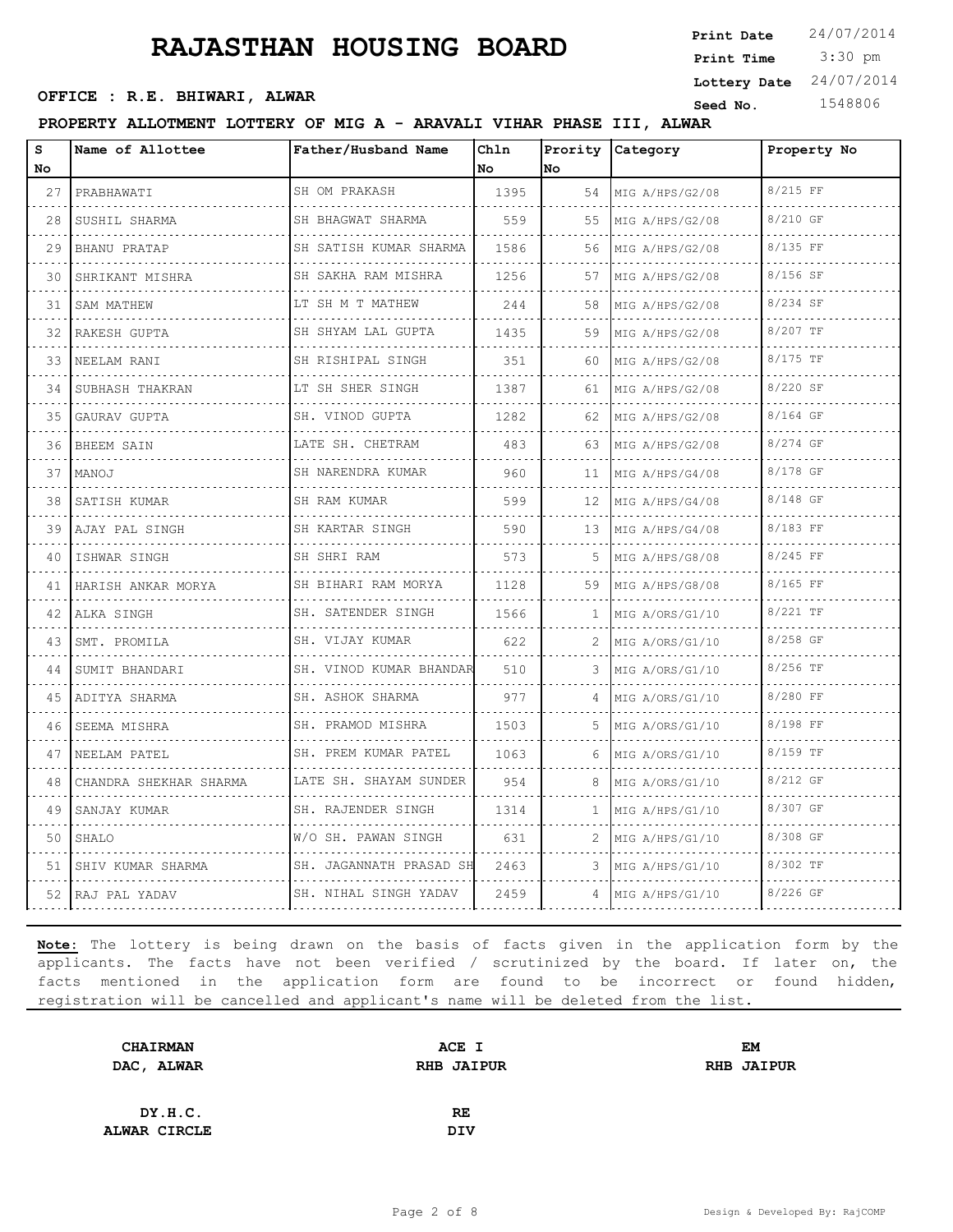3:30 pm **Print Date**  $24/07/2014$ **Print Time OFFICE : R.E. BHIWARI, ALWAR CONSUMIC SEED AND SEED NO.** 1548806 **Lottery Date** 24/07/2014

**PROPERTY ALLOTMENT LOTTERY OF MIG A - ARAVALI VIHAR PHASE III, ALWAR**

| s<br>No | Name of Allottee       | Father/Husband Name          | Chln<br>l No | No             | Prority Category   | Property No |
|---------|------------------------|------------------------------|--------------|----------------|--------------------|-------------|
| 27      | PRABHAWATI             | SH OM PRAKASH                | 1395         |                | 54 MIG A/HPS/G2/08 | 8/215 FF    |
| 28      | SUSHIL SHARMA          | SH BHAGWAT SHARMA            | 559          | 55             | MIG A/HPS/G2/08    | 8/210 GF    |
| 29      | BHANU PRATAP           | SH SATISH KUMAR SHARMA<br>.  | 1586         | 56             | MIG A/HPS/G2/08    | 8/135 FF    |
| 30      | SHRIKANT MISHRA        | SH SAKHA RAM MISHRA<br>.     | 1256         | 57             | MIG A/HPS/G2/08    | 8/156 SF    |
| 31      | SAM MATHEW             | LT SH M T MATHEW             | 244          | 58             | MIG A/HPS/G2/08    | 8/234 SF    |
| 32      | RAKESH GUPTA           | SH SHYAM LAL GUPTA<br>.      | 1435         | 59             | MIG A/HPS/G2/08    | 8/207 TF    |
| 33      | NEELAM RANI            | SH RISHIPAL SINGH            | 351          | 60             | MIG A/HPS/G2/08    | 8/175 TF    |
| 34      | SUBHASH THAKRAN        | LT SH SHER SINGH             | 1387         | 61             | MIG A/HPS/G2/08    | 8/220 SF    |
| 35      | GAURAV GUPTA           | SH. VINOD GUPTA<br>.         | 1282         | 62             | MIG A/HPS/G2/08    | 8/164 GF    |
| 36      | <b>BHEEM SAIN</b>      | LATE SH. CHETRAM             | 483          | 63             | MIG A/HPS/G2/08    | 8/274 GF    |
| 37      | MANOJ                  | SH NARENDRA KUMAR            | 960          | 11             | MIG A/HPS/G4/08    | 8/178 GF    |
| 38      | SATISH KUMAR           | SH RAM KUMAR<br>.            | 599          | 12             | MIG A/HPS/G4/08    | 8/148 GF    |
| 39      | AJAY PAL SINGH         | SH KARTAR SINGH              | 590          | 13             | MIG A/HPS/G4/08    | 8/183 FF    |
| 40      | ISHWAR SINGH           | SH SHRI RAM                  | 573          | 5              | MIG A/HPS/G8/08    | 8/245 FF    |
| 41      | HARISH ANKAR MORYA     | SH BIHARI RAM MORYA<br>.     | 1128         | 59             | MIG A/HPS/G8/08    | 8/165 FF    |
| 42      | ALKA SINGH             | SH. SATENDER SINGH           | 1566         | $\mathbf{1}$   | MIG A/ORS/G1/10    | 8/221 TF    |
| 43      | SMT. PROMILA           | SH. VIJAY KUMAR              | 622          | 2              | MIG A/ORS/G1/10    | 8/258 GF    |
| 44      | SUMIT BHANDARI         | SH. VINOD KUMAR BHANDAR<br>. | 510          | 3.             | MIG A/ORS/G1/10    | 8/256 TF    |
| 45      | ADITYA SHARMA          | SH. ASHOK SHARMA<br>.        | 977          | 4              | MIG A/ORS/G1/10    | 8/280 FF    |
| 46      | SEEMA MISHRA           | SH. PRAMOD MISHRA            | 1503         | .5.            | MIG A/ORS/G1/10    | 8/198 FF    |
| 47      | NEELAM PATEL           | SH. PREM KUMAR PATEL         | 1063         | 6              | MIG A/ORS/G1/10    | 8/159 TF    |
| 48      | CHANDRA SHEKHAR SHARMA | LATE SH. SHAYAM SUNDER       | 954          | 8              | MIG A/ORS/G1/10    | 8/212 GF    |
| 49      | SANJAY KUMAR           | SH. RAJENDER SINGH           | 1314         | 1.             | MIG A/HPS/G1/10    | 8/307 GF    |
| 50      | SHALO                  | W/O SH. PAWAN SINGH          | 631          | 2              | MIG A/HPS/G1/10    | 8/308 GF    |
| 51      | SHIV KUMAR SHARMA      | SH. JAGANNATH PRASAD SH      | 2463         | 3              | MIG A/HPS/G1/10    | 8/302 TF    |
|         | 52 RAJ PAL YADAV       | SH. NIHAL SINGH YADAV        | 2459         | $\overline{4}$ | MIG A/HPS/G1/10    | 8/226 GF    |

| <b>CHAIRMAN</b>     | ACE I             | EМ                |
|---------------------|-------------------|-------------------|
| DAC, ALWAR          | <b>RHB JAIPUR</b> | <b>RHB JAIPUR</b> |
|                     |                   |                   |
| DY.H.C.             | <b>RE</b>         |                   |
| <b>ALWAR CIRCLE</b> | <b>DIV</b>        |                   |
|                     |                   |                   |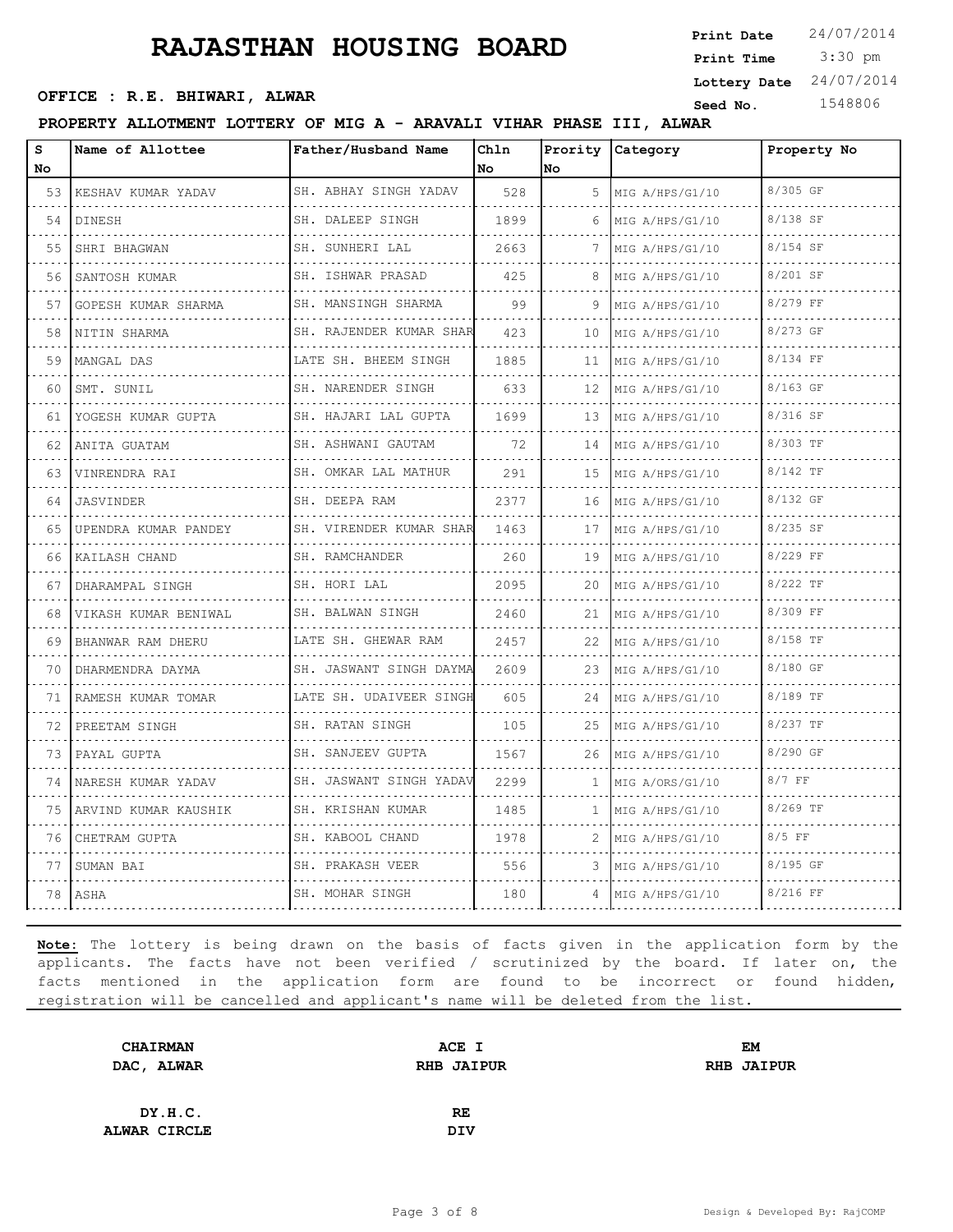3:30 pm **Print Date**  $24/07/2014$ **Print Time OFFICE : R.E. BHIWARI, ALWAR CONSUMIC SEED AND SEED NO.** 1548806 **Lottery Date** 24/07/2014

#### **PROPERTY ALLOTMENT LOTTERY OF MIG A - ARAVALI VIHAR PHASE III, ALWAR**

| s<br><b>No</b> | Name of Allottee     | Father/Husband Name          | Chln<br>No. | No.          | Prority Category     | Property No |
|----------------|----------------------|------------------------------|-------------|--------------|----------------------|-------------|
| 53             | KESHAV KUMAR YADAV   | SH. ABHAY SINGH YADAV        | 528         | 5.           | MIG A/HPS/G1/10      | 8/305 GF    |
| 54             | DINESH               | SH. DALEEP SINGH             | 1899        | 6            | .<br>MIG A/HPS/G1/10 | 8/138 SF    |
| 55             | SHRI BHAGWAN         | SH. SUNHERI LAL              | 2663        | 7            | MIG A/HPS/G1/10      | 8/154 SF    |
| 56             | SANTOSH KUMAR        | SH. ISHWAR PRASAD<br>.       | 425         | 8            | MIG A/HPS/G1/10      | 8/201 SF    |
| 57             | GOPESH KUMAR SHARMA  | SH. MANSINGH SHARMA          | 99          | 9            | MIG A/HPS/G1/10      | 8/279 FF    |
| 58             | NITIN SHARMA         | .<br>SH. RAJENDER KUMAR SHAR | 423         | 10           | MIG A/HPS/G1/10      | 8/273 GF    |
| 59             | MANGAL DAS           | LATE SH. BHEEM SINGH         | 1885        | 11           | MIG A/HPS/G1/10<br>. | 8/134 FF    |
| 60             | SMT. SUNIL           | SH. NARENDER SINGH           | 633         | 12           | MIG A/HPS/G1/10      | 8/163 GF    |
| 61             | YOGESH KUMAR GUPTA   | SH. HAJARI LAL GUPTA         | 1699        | 13           | MIG A/HPS/G1/10      | 8/316 SF    |
| 62             | ANITA GUATAM<br>.    | SH. ASHWANI GAUTAM<br>.      | 72          | 14           | MIG A/HPS/G1/10      | 8/303 TF    |
| 63             | VINRENDRA RAI        | SH. OMKAR LAL MATHUR         | 291         | 15           | MIG A/HPS/G1/10      | 8/142 TF    |
| 64             | JASVINDER            | SH. DEEPA RAM                | 2377        | 16           | MIG A/HPS/G1/10      | 8/132 GF    |
| 65             | UPENDRA KUMAR PANDEY | SH. VIRENDER KUMAR SHAR      | 1463        | 17           | MIG A/HPS/G1/10      | 8/235 SF    |
| 66             | KAILASH CHAND        | SH. RAMCHANDER               | 260         | 19           | MIG A/HPS/G1/10      | 8/229 FF    |
| 67             | DHARAMPAL SINGH      | SH. HORI LAL                 | 2095        | 20           | MIG A/HPS/G1/10      | 8/222 TF    |
| 68             | VIKASH KUMAR BENIWAL | SH. BALWAN SINGH<br>.        | 2460        | 21           | MIG A/HPS/G1/10      | 8/309 FF    |
| 69             | BHANWAR RAM DHERU    | LATE SH. GHEWAR RAM          | 2457        | 22           | MIG A/HPS/G1/10      | 8/158 TF    |
| 70             | DHARMENDRA DAYMA     | SH. JASWANT SINGH DAYMA      | 2609        | 23           | MIG A/HPS/G1/10      | 8/180 GF    |
| 71             | RAMESH KUMAR TOMAR   | LATE SH. UDAIVEER SINGH<br>. | 605         | 24           | MIG A/HPS/G1/10      | 8/189 TF    |
| 72             | PREETAM SINGH        | SH. RATAN SINGH              | 105         | 25           | MIG A/HPS/G1/10      | 8/237 TF    |
| 73             | PAYAL GUPTA          | SH. SANJEEV GUPTA            | 1567        | 26           | MIG A/HPS/G1/10      | 8/290 GF    |
| 74             | NARESH KUMAR YADAV   | SH. JASWANT SINGH YADAV      | 2299        | $\mathbf{1}$ | MIG A/ORS/G1/10      | 8/7 FF      |
| 75             | ARVIND KUMAR KAUSHIK | SH. KRISHAN KUMAR            | 1485        | $\mathbf{1}$ | MIG A/HPS/G1/10      | 8/269 TF    |
| 76             | CHETRAM GUPTA        | SH. KABOOL CHAND             | 1978        | 2            | MIG A/HPS/G1/10      | $8/5$ FF    |
| 77             | SUMAN BAI            | SH. PRAKASH VEER<br>.        | 556         | 3            | MIG A/HPS/G1/10      | 8/195 GF    |
| 78             | ASHA                 | SH. MOHAR SINGH              | 180         |              | MIG A/HPS/G1/10      | 8/216 FF    |

| <b>CHAIRMAN</b> | ACE I             | EМ                |
|-----------------|-------------------|-------------------|
| DAC, ALWAR      | <b>RHB JAIPUR</b> | <b>RHB JAIPUR</b> |
|                 |                   |                   |
| DY.H.C.         | <b>RE</b>         |                   |
| ALWAR CIRCLE    | DIV               |                   |
|                 |                   |                   |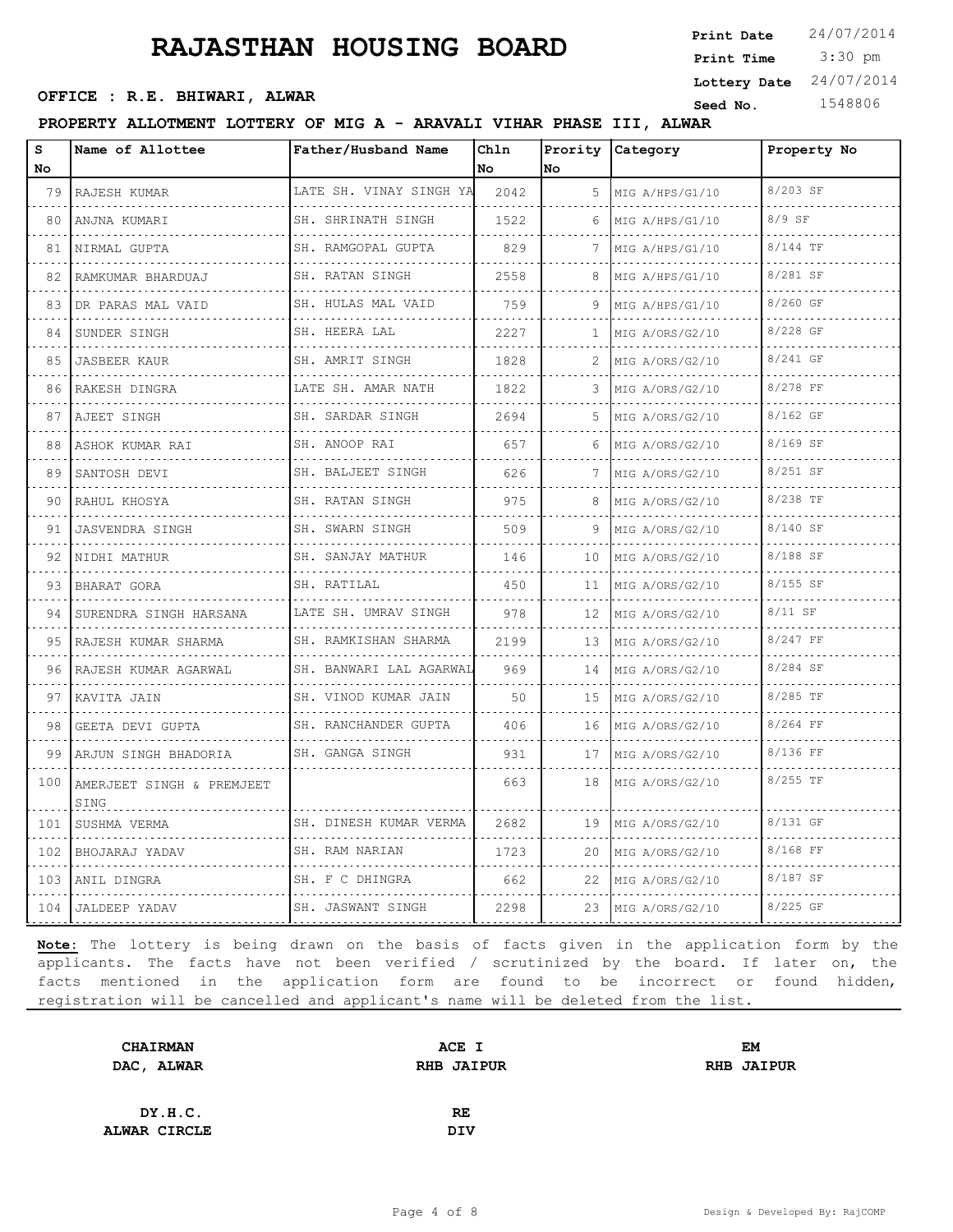3:30 pm **Print Date**  $24/07/2014$ **Print Time OFFICE : R.E. BHIWARI, ALWAR CONSUMIC SEED AND SEED NO.** 1548806 **Lottery Date** 24/07/2014

**PROPERTY ALLOTMENT LOTTERY OF MIG A - ARAVALI VIHAR PHASE III, ALWAR**

| s<br>No | Name of Allottee                  | Father/Husband Name          | Chln<br>No | Prority<br>lno | Category             | Property No |
|---------|-----------------------------------|------------------------------|------------|----------------|----------------------|-------------|
| 79      | RAJESH KUMAR<br>.                 | LATE SH. VINAY SINGH YA      | 2042       | 5              | MIG A/HPS/G1/10<br>. | 8/203 SF    |
| 80      | ANJNA KUMARI<br>.                 | SH. SHRINATH SINGH<br>.      | 1522       | 6              | MIG A/HPS/G1/10<br>. | $8/9$ SF    |
| 81      | NIRMAL GUPTA                      | SH. RAMGOPAL GUPTA           | 829        | 7              | MIG A/HPS/G1/10      | 8/144 TF    |
| 82      | RAMKUMAR BHARDUAJ                 | SH. RATAN SINGH<br>.         | 2558       | 8              | MIG A/HPS/G1/10      | 8/281 SF    |
| 83      | DR PARAS MAL VAID                 | SH. HULAS MAL VAID<br>.      | 759        | 9              | MIG A/HPS/G1/10<br>. | 8/260 GF    |
| 84      | SUNDER SINGH<br>.                 | SH. HEERA LAL<br>.           | 2227       | $\mathbf{1}$   | MIG A/ORS/G2/10      | 8/228 GF    |
| 85      | <b>JASBEER KAUR</b>               | SH. AMRIT SINGH<br>.         | 1828       |                | MIG A/ORS/G2/10      | 8/241 GF    |
| 86      | RAKESH DINGRA                     | LATE SH. AMAR NATH           | 1822       | 3              | MIG A/ORS/G2/10      | 8/278 FF    |
| 87      | AJEET SINGH                       | SH. SARDAR SINGH<br>.        | 2694       | 5.             | MIG A/ORS/G2/10      | 8/162 GF    |
| 88      | ASHOK KUMAR RAI<br>.              | SH. ANOOP RAI                | 657        | 6              | MIG A/ORS/G2/10      | 8/169 SF    |
| 89      | SANTOSH DEVI                      | SH. BALJEET SINGH            | 626        | 7              | MIG A/ORS/G2/10      | 8/251 SF    |
| 90      | RAHUL KHOSYA                      | SH. RATAN SINGH<br>.         | 975        | 8              | MIG A/ORS/G2/10<br>. | 8/238 TF    |
| 91      | <b>JASVENDRA SINGH</b>            | SH. SWARN SINGH              | 509        | 9              | MIG A/ORS/G2/10<br>. | 8/140 SF    |
| 92      | NIDHI MATHUR                      | SH. SANJAY MATHUR            | 146        | 10             | MIG A/ORS/G2/10      | 8/188 SF    |
| 93      | BHARAT GORA                       | SH. RATILAL                  | 450        | 11             | MIG A/ORS/G2/10      | $8/155$ SF  |
| 94      | SURENDRA SINGH HARSANA            | LATE SH. UMRAV SINGH         | 978        | 12             | MIG A/ORS/G2/10      | $8/11$ SF   |
| 95      | RAJESH KUMAR SHARMA               | SH. RAMKISHAN SHARMA         | 2199       | 13             | MIG A/ORS/G2/10      | 8/247 FF    |
| 96      | RAJESH KUMAR AGARWAL              | SH. BANWARI LAL AGARWAL<br>. | 969        | 14             | MIG A/ORS/G2/10      | 8/284 SF    |
| 97      | KAVITA JAIN                       | SH. VINOD KUMAR JAIN         | 50         | 15             | MIG A/ORS/G2/10      | 8/285 TF    |
| 98      | GEETA DEVI GUPTA                  | SH. RANCHANDER GUPTA         | 406        | 16             | MIG A/ORS/G2/10<br>. | 8/264 FF    |
| 99      | ARJUN SINGH BHADORIA              | SH. GANGA SINGH              | 931        | 17             | MIG A/ORS/G2/10      | 8/136 FF    |
| 100     | AMERJEET SINGH & PREMJEET<br>SING |                              | 663        | 18             | MIG A/ORS/G2/10      | 8/255 TF    |
| 101     | SUSHMA VERMA                      | SH. DINESH KUMAR VERMA       | 2682       | 19             | MIG A/ORS/G2/10      | 8/131 GF    |
|         | 102 BHOJARAJ YADAV                | SH. RAM NARIAN<br>.          | 1723       | 20             | MIG A/ORS/G2/10      | 8/168 FF    |
| 103     | ANIL DINGRA<br>.                  | SH. F C DHINGRA<br>.         | 662        | 22             | MIG A/ORS/G2/10<br>. | 8/187 SF    |
|         | 104 JALDEEP YADAV                 | SH. JASWANT SINGH            | 2298       | 23             | MIG A/ORS/G2/10      | 8/225 GF    |

| <b>CHAIRMAN</b> | ACE I             | <b>EM</b>         |
|-----------------|-------------------|-------------------|
| DAC, ALWAR      | <b>RHB JAIPUR</b> | <b>RHB JAIPUR</b> |
|                 |                   |                   |
| DY.H.C.         | RE                |                   |
| ALWAR CIRCLE    | <b>DIV</b>        |                   |
|                 |                   |                   |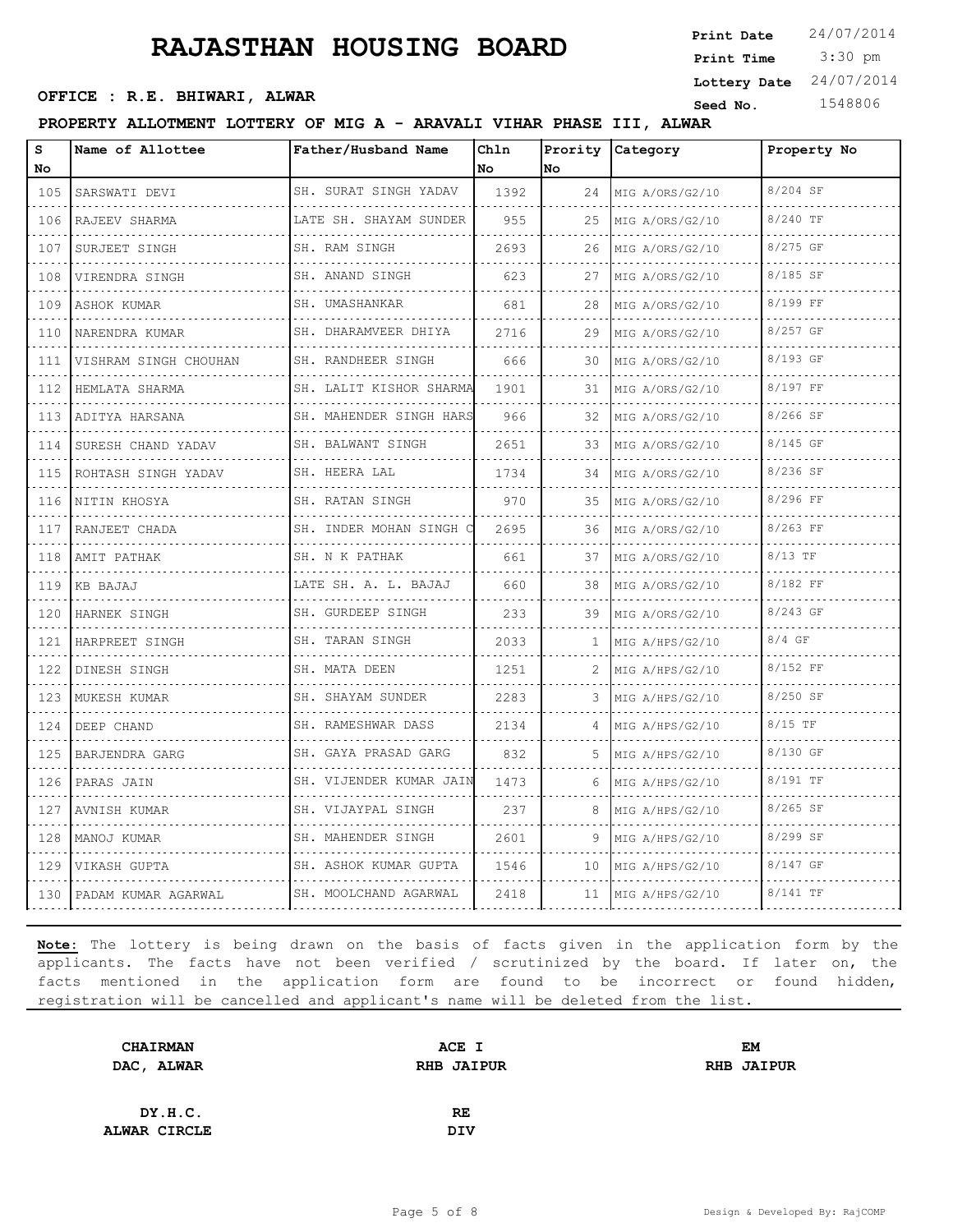**OFFICE : R.E. BHIWARI, ALWAR CONSUMIC SEED AND SEED NO.** 1548806

 3:30 pm **Print Date**  $24/07/2014$ **Print Time Lottery Date** 24/07/2014

**PROPERTY ALLOTMENT LOTTERY OF MIG A - ARAVALI VIHAR PHASE III, ALWAR**

| S<br>No.                           | Name of Allottee         | Father/Husband Name         | Chln<br>No. | <b>No</b> | Prority Category | Property No |
|------------------------------------|--------------------------|-----------------------------|-------------|-----------|------------------|-------------|
| 105                                | SARSWATI DEVI            | SH. SURAT SINGH YADAV       | 1392        | 24        | MIG A/ORS/G2/10  | 8/204 SF    |
| .<br>106                           | RAJEEV SHARMA            | .<br>LATE SH. SHAYAM SUNDER | 955         | 25        | MIG A/ORS/G2/10  | 8/240 TF    |
| 107                                | SURJEET SINGH            | SH. RAM SINGH               | 2693        | 26        | MIG A/ORS/G2/10  | 8/275 GF    |
| .<br>108                           | VIRENDRA SINGH           | SH. ANAND SINGH             | 623         | 27        | MIG A/ORS/G2/10  | 8/185 SF    |
| .<br>109                           | ASHOK KUMAR              | SH. UMASHANKAR              | 681         | 28        | MIG A/ORS/G2/10  | 8/199 FF    |
| 110                                | NARENDRA KUMAR           | SH. DHARAMVEER DHIYA        | 2716        | 29        | MIG A/ORS/G2/10  | 8/257 GF    |
| 111                                | VISHRAM SINGH CHOUHAN    | SH. RANDHEER SINGH          | 666         | 30        | MIG A/ORS/G2/10  | 8/193 GF    |
| الداعات الداعا<br>112              | HEMLATA SHARMA           | SH. LALIT KISHOR SHARMA     | 1901        | 31        | MIG A/ORS/G2/10  | 8/197 FF    |
| 113                                | ADITYA HARSANA           | SH. MAHENDER SINGH HARS     | 966         | 32        | MIG A/ORS/G2/10  | 8/266 SF    |
| 114                                | SURESH CHAND YADAV       | SH. BALWANT SINGH<br>.      | 2651        | 33        | MIG A/ORS/G2/10  | $8/145$ GF  |
| a a shekar<br>115                  | .<br>ROHTASH SINGH YADAV | SH. HEERA LAL               | 1734        | 34        | MIG A/ORS/G2/10  | 8/236 SF    |
| 116                                | NITIN KHOSYA             | SH. RATAN SINGH             | 970         | 35        | MIG A/ORS/G2/10  | 8/296 FF    |
| 117                                | RANJEET CHADA            | SH. INDER MOHAN SINGH O     | 2695        | 36        | MIG A/ORS/G2/10  | 8/263 FF    |
| الداعات الداري<br>118              | AMIT PATHAK              | SH. N K PATHAK              | 661         | 37        | MIG A/ORS/G2/10  | 8/13 TF     |
| 119                                | KB BAJAJ                 | LATE SH. A. L. BAJAJ        | 660         | 38        | MIG A/ORS/G2/10  | 8/182 FF    |
| .<br>120<br>.                      | HARNEK SINGH             | SH. GURDEEP SINGH<br>.      | 233         | 39        | MIG A/ORS/G2/10  | 8/243 GF    |
| 121                                | HARPREET SINGH           | SH. TARAN SINGH             | 2033        | 1         | MIG A/HPS/G2/10  | $8/4$ GF    |
| 122                                | DINESH SINGH             | SH. MATA DEEN               | 1251        | 2         | MIG A/HPS/G2/10  | 8/152 FF    |
| 123                                | MUKESH KUMAR             | SH. SHAYAM SUNDER<br>.      | 2283        | 3         | MIG A/HPS/G2/10  | 8/250 SF    |
| .<br>124                           | DEEP CHAND               | SH. RAMESHWAR DASS          | 2134        |           | MIG A/HPS/G2/10  | $8/15$ TF   |
| 125<br>الفراعات عراقي              | BARJENDRA GARG           | SH. GAYA PRASAD GARG<br>.   | 832         | 5.        | MIG A/HPS/G2/10  | 8/130 GF    |
| 126                                | PARAS JAIN               | SH. VIJENDER KUMAR JAIN     | 1473        | 6         | MIG A/HPS/G2/10  | 8/191 TF    |
| الدائد الدائد<br>127               | AVNISH KUMAR             | SH. VIJAYPAL SINGH          | 237         | 8         | MIG A/HPS/G2/10  | $8/265$ SF  |
| 128                                | MANOJ KUMAR              | SH. MAHENDER SINGH          | 2601        | 9         | MIG A/HPS/G2/10  | 8/299 SF    |
| 129<br>$\sim$ $\sim$ $\sim$ $\sim$ | VIKASH GUPTA             | SH. ASHOK KUMAR GUPTA       | 1546        | 10        | MIG A/HPS/G2/10  | 8/147 GF    |
| 130                                | PADAM KUMAR AGARWAL      | SH. MOOLCHAND AGARWAL       | 2418        | 11        | MIG A/HPS/G2/10  | 8/141 TF    |

| <b>CHAIRMAN</b> | ACE I             | EM                |
|-----------------|-------------------|-------------------|
| DAC, ALWAR      | <b>RHB JAIPUR</b> | <b>RHB JAIPUR</b> |
|                 |                   |                   |
| DY.H.C.         | RE                |                   |
| ALWAR CIRCLE    | <b>DIV</b>        |                   |
|                 |                   |                   |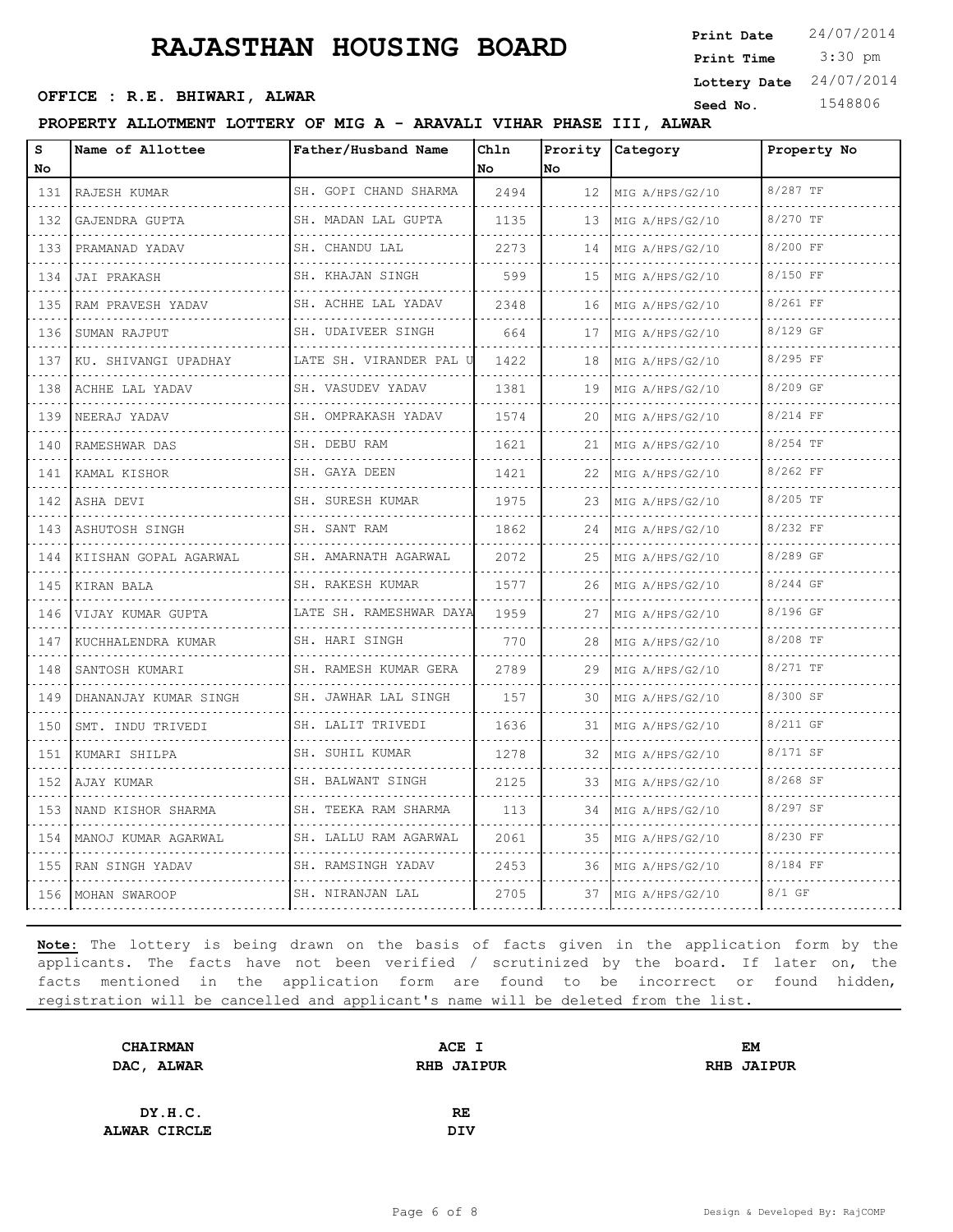3:30 pm **Print Date**  $24/07/2014$ **Print Time OFFICE : R.E. BHIWARI, ALWAR CONSUMIC SEED AND SEED NO.** 1548806 **Lottery Date** 24/07/2014

#### **PROPERTY ALLOTMENT LOTTERY OF MIG A - ARAVALI VIHAR PHASE III, ALWAR**

| s<br>No                            | Name of Allottee       | Father/Husband Name                | Chln<br>No | Prority<br>No | Category             | Property No |
|------------------------------------|------------------------|------------------------------------|------------|---------------|----------------------|-------------|
| 131                                | RAJESH KUMAR           | SH. GOPI CHAND SHARMA              | 2494       | 12            | MIG A/HPS/G2/10      | 8/287 TF    |
| $\sim$ $\sim$ $\sim$ $\sim$<br>132 | .<br>GAJENDRA GUPTA    | .<br>SH. MADAN LAL GUPTA           | 1135       | 13            | .<br>MIG A/HPS/G2/10 | 8/270 TF    |
| 133                                | PRAMANAD YADAV         | SH. CHANDU LAL                     | 2273       | 14            | MIG A/HPS/G2/10      | 8/200 FF    |
| 134                                | JAI PRAKASH            | SH. KHAJAN SINGH                   | 599        | 15            | MIG A/HPS/G2/10      | 8/150 FF    |
| 135                                | .<br>RAM PRAVESH YADAV | .<br>SH. ACHHE LAL YADAV           | 2348       | 16            | MIG A/HPS/G2/10      | 8/261 FF    |
| 136                                | SUMAN RAJPUT           | <u>.</u><br>SH. UDAIVEER SINGH     | 664        | 17            | MIG A/HPS/G2/10      | 8/129 GF    |
| 137                                | KU. SHIVANGI UPADHAY   | LATE SH. VIRANDER PAL U            | 1422       | 18            | MIG A/HPS/G2/10      | 8/295 FF    |
| 138                                | ACHHE LAL YADAV        | .<br>SH. VASUDEV YADAV             | 1381       | 19            | MIG A/HPS/G2/10      | 8/209 GF    |
| 139                                | NEERAJ YADAV           | .<br>SH. OMPRAKASH YADAV           | 1574       | 20            | MIG A/HPS/G2/10      | 8/214 FF    |
| 140                                | RAMESHWAR DAS          | SH. DEBU RAM                       | 1621       | 21            | MIG A/HPS/G2/10      | 8/254 TF    |
| 141                                | KAMAL KISHOR           | a dia dia dia dia<br>SH. GAYA DEEN | 1421       | 22            | MIG A/HPS/G2/10      | 8/262 FF    |
| 142                                | ASHA DEVI              | SH. SURESH KUMAR                   | 1975       | 23            | MIG A/HPS/G2/10      | 8/205 TF    |
| 143                                | ASHUTOSH SINGH         | SH. SANT RAM<br>.                  | 1862       | 24            | MIG A/HPS/G2/10      | 8/232 FF    |
| 144                                | KIISHAN GOPAL AGARWAL  | SH. AMARNATH AGARWAL               | 2072       | 25            | MIG A/HPS/G2/10      | 8/289 GF    |
| 145                                | KIRAN BALA             | .<br>SH. RAKESH KUMAR              | 1577       | 26            | MIG A/HPS/G2/10      | 8/244 GF    |
| 146                                | VIJAY KUMAR GUPTA      | LATE SH. RAMESHWAR DAYA            | 1959       | 27            | MIG A/HPS/G2/10      | 8/196 GF    |
| 147                                | KUCHHALENDRA KUMAR     | SH. HARI SINGH                     | 770        | 28            | MIG A/HPS/G2/10      | 8/208 TF    |
| 148                                | SANTOSH KUMARI         | SH. RAMESH KUMAR GERA              | 2789       | 29            | MIG A/HPS/G2/10      | 8/271 TF    |
| 149                                | DHANANJAY KUMAR SINGH  | SH. JAWHAR LAL SINGH               | 157        | 30            | MIG A/HPS/G2/10      | 8/300 SF    |
| 150                                | SMT. INDU TRIVEDI      | SH. LALIT TRIVEDI                  | 1636       | 31            | MIG A/HPS/G2/10      | 8/211 GF    |
| 151                                | KUMARI SHILPA          | SH. SUHIL KUMAR                    | 1278       | 32            | MIG A/HPS/G2/10      | 8/171 SF    |
| 152                                | AJAY KUMAR             | SH. BALWANT SINGH                  | 2125       | 33            | MIG A/HPS/G2/10      | 8/268 SF    |
| 153                                | NAND KISHOR SHARMA     | .<br>SH. TEEKA RAM SHARMA          | 113        | 34            | MIG A/HPS/G2/10      | 8/297 SF    |
| 154                                | MANOJ KUMAR AGARWAL    | SH. LALLU RAM AGARWAL              | 2061       | 35            | MIG A/HPS/G2/10      | 8/230 FF    |
| 155                                | RAN SINGH YADAV        | SH. RAMSINGH YADAV                 | 2453       | 36            | MIG A/HPS/G2/10      | 8/184 FF    |
| 156                                | MOHAN SWAROOP          | SH. NIRANJAN LAL                   | 2705       | 37            | MIG A/HPS/G2/10      | $8/1$ GF    |

| <b>CHAIRMAN</b> | ACE I             | <b>EM</b>         |
|-----------------|-------------------|-------------------|
| DAC, ALWAR      | <b>RHB JAIPUR</b> | <b>RHB JAIPUR</b> |
|                 |                   |                   |
| DY.H.C.         | <b>RE</b>         |                   |
| ALWAR CIRCLE    | DIV               |                   |
|                 |                   |                   |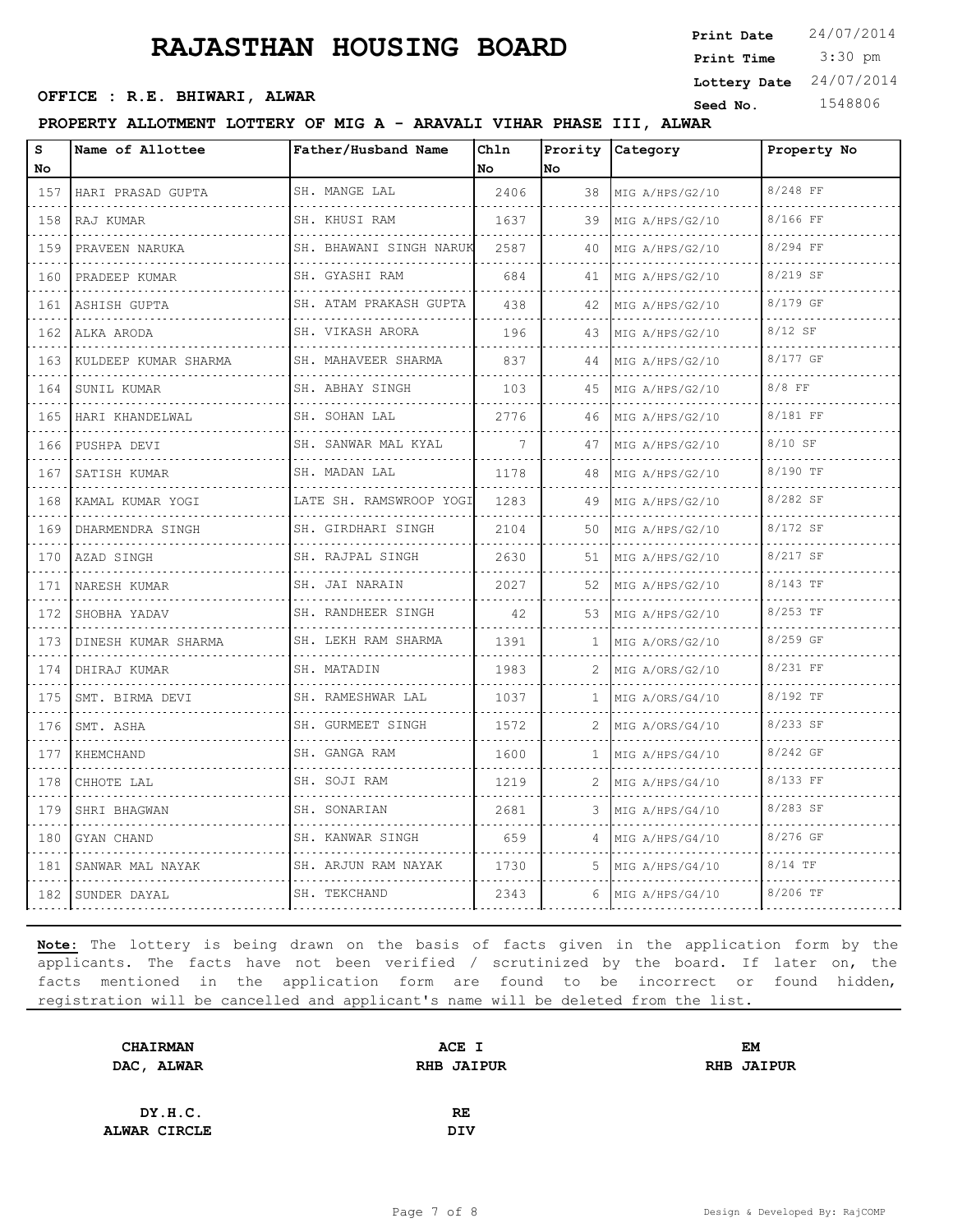**OFFICE : R.E. BHIWARI, ALWAR CONSUMIC SEED AND SEED NO.** 1548806

**PROPERTY ALLOTMENT LOTTERY OF MIG A - ARAVALI VIHAR PHASE III, ALWAR**

| S<br>No                            | Name of Allottee     | Father/Husband Name         | Ch1n<br>No | No | Prority Category | Property No |
|------------------------------------|----------------------|-----------------------------|------------|----|------------------|-------------|
| 157                                | HARI PRASAD GUPTA    | SH. MANGE LAL               | 2406       | 38 | MIG A/HPS/G2/10  | 8/248 FF    |
| 158                                | RAJ KUMAR            | SH. KHUSI RAM               | 1637       | 39 | MIG A/HPS/G2/10  | 8/166 FF    |
| 159                                | PRAVEEN NARUKA       | SH. BHAWANI SINGH NARUK     | 2587       | 40 | MIG A/HPS/G2/10  | 8/294 FF    |
| 160                                | PRADEEP KUMAR        | .<br>SH. GYASHI RAM         | 684        | 41 | MIG A/HPS/G2/10  | 8/219 SF    |
| 161                                | ASHISH GUPTA         | .<br>SH. ATAM PRAKASH GUPTA | 438        | 42 | MIG A/HPS/G2/10  | 8/179 GF    |
| 162                                | ALKA ARODA           | SH. VIKASH ARORA            | 196        | 43 | MIG A/HPS/G2/10  | 8/12 SF     |
| 163                                | KULDEEP KUMAR SHARMA | SH. MAHAVEER SHARMA         | 837        | 44 | MIG A/HPS/G2/10  | 8/177 GF    |
| 164                                | SUNIL KUMAR          | SH. ABHAY SINGH             | 103        | 45 | MIG A/HPS/G2/10  | 8/8 FF      |
| 165                                | HARI KHANDELWAL      | SH. SOHAN LAL               | 2776       | 46 | MIG A/HPS/G2/10  | 8/181 FF    |
| 166<br>$\sim$ $\sim$ $\sim$ $\sim$ | PUSHPA DEVI          | SH. SANWAR MAL KYAL         | 7          | 47 | MIG A/HPS/G2/10  | 8/10 SF     |
| 167                                | SATISH KUMAR         | SH. MADAN LAL               | 1178       | 48 | MIG A/HPS/G2/10  | 8/190 TF    |
| $\sim$ $\sim$ $\sim$ $\sim$<br>168 | KAMAL KUMAR YOGI     | LATE SH. RAMSWROOP YOGI     | 1283       | 49 | MIG A/HPS/G2/10  | 8/282 SF    |
| 169                                | DHARMENDRA SINGH     | SH. GIRDHARI SINGH          | 2104       | 50 | MIG A/HPS/G2/10  | 8/172 SF    |
| 170                                | AZAD SINGH           | SH. RAJPAL SINGH            | 2630       | 51 | MIG A/HPS/G2/10  | 8/217 SF    |
| 171                                | NARESH KUMAR         | SH. JAI NARAIN              | 2027       | 52 | MIG A/HPS/G2/10  | 8/143 TF    |
| 172                                | SHOBHA YADAV         | SH. RANDHEER SINGH          | 42         | 53 | MIG A/HPS/G2/10  | 8/253 TF    |
| 173                                | DINESH KUMAR SHARMA  | SH. LEKH RAM SHARMA         | 1391       | 1  | MIG A/ORS/G2/10  | 8/259 GF    |
| 174                                | DHIRAJ KUMAR         | SH. MATADIN                 | 1983       | 2. | MIG A/ORS/G2/10  | 8/231 FF    |
| 175                                | SMT. BIRMA DEVI      | SH. RAMESHWAR LAL           | 1037       |    | MIG A/ORS/G4/10  | 8/192 TF    |
| 176                                | SMT. ASHA<br>.       | SH. GURMEET SINGH           | 1572       | 2  | MIG A/ORS/G4/10  | 8/233 SF    |
| 177                                | KHEMCHAND            | SH. GANGA RAM               | 1600       |    | MIG A/HPS/G4/10  | 8/242 GF    |
| 178                                | CHHOTE LAL           | SH. SOJI RAM                | 1219       | 2  | MIG A/HPS/G4/10  | 8/133 FF    |
| 179                                | SHRI BHAGWAN         | SH. SONARIAN                | 2681       |    | MIG A/HPS/G4/10  | 8/283 SF    |
| 180                                | GYAN CHAND           | SH. KANWAR SINGH            | 659        | 4  | MIG A/HPS/G4/10  | 8/276 GF    |
| 181                                | SANWAR MAL NAYAK     | SH. ARJUN RAM NAYAK         | 1730       | 5. | MIG A/HPS/G4/10  | $8/14$ TF   |
| 182                                | SUNDER DAYAL         | SH. TEKCHAND                | 2343       | 6  | MIG A/HPS/G4/10  | 8/206 TF    |

**Note:** The lottery is being drawn on the basis of facts given in the application form by the applicants. The facts have not been verified / scrutinized by the board. If later on, the facts mentioned in the application form are found to be incorrect or found hidden, registration will be cancelled and applicant's name will be deleted from the list.

| <b>CHAIRMAN</b> | ACE I             | EM                |
|-----------------|-------------------|-------------------|
| DAC, ALWAR      | <b>RHB JAIPUR</b> | <b>RHB JAIPUR</b> |
|                 |                   |                   |
| DY.H.C.         | <b>RE</b>         |                   |
| ALWAR CIRCLE    | DIV               |                   |
|                 |                   |                   |

 3:30 pm **Print Date**  $24/07/2014$ **Print Time Lottery Date** 24/07/2014